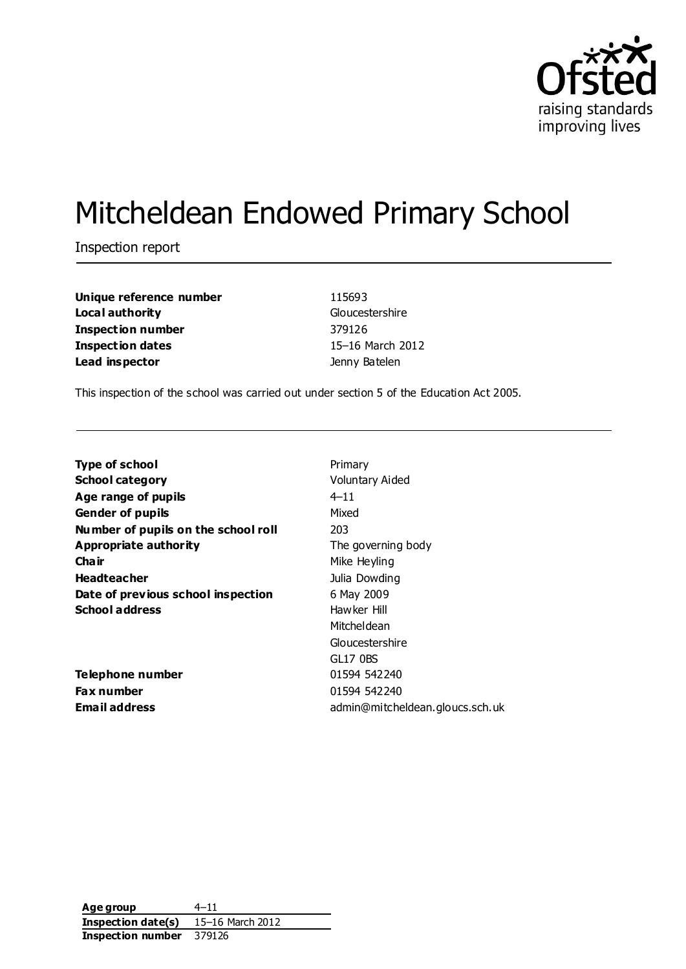

# Mitcheldean Endowed Primary School

Inspection report

**Unique reference number** 115693 **Local authority** Gloucestershire **Inspection number** 379126 **Inspection dates** 15–16 March 2012 **Lead inspector Contract Contract Contract Contract Contract Contract Contract Contract Contract Contract Contract Contract Contract Contract Contract Contract Contract Contract Contract Contract Contract Contract Contra** 

This inspection of the school was carried out under section 5 of the Education Act 2005.

| Primary                         |
|---------------------------------|
| <b>Voluntary Aided</b>          |
| $4 - 11$                        |
| Mixed                           |
| 203                             |
| The governing body              |
| Mike Heyling                    |
| Julia Dowding                   |
| 6 May 2009                      |
| Hawker Hill                     |
| Mitcheldean                     |
| Gloucestershire                 |
| GL17 0BS                        |
| 01594 542240                    |
| 01594 542240                    |
| admin@mitcheldean.gloucs.sch.uk |
|                                 |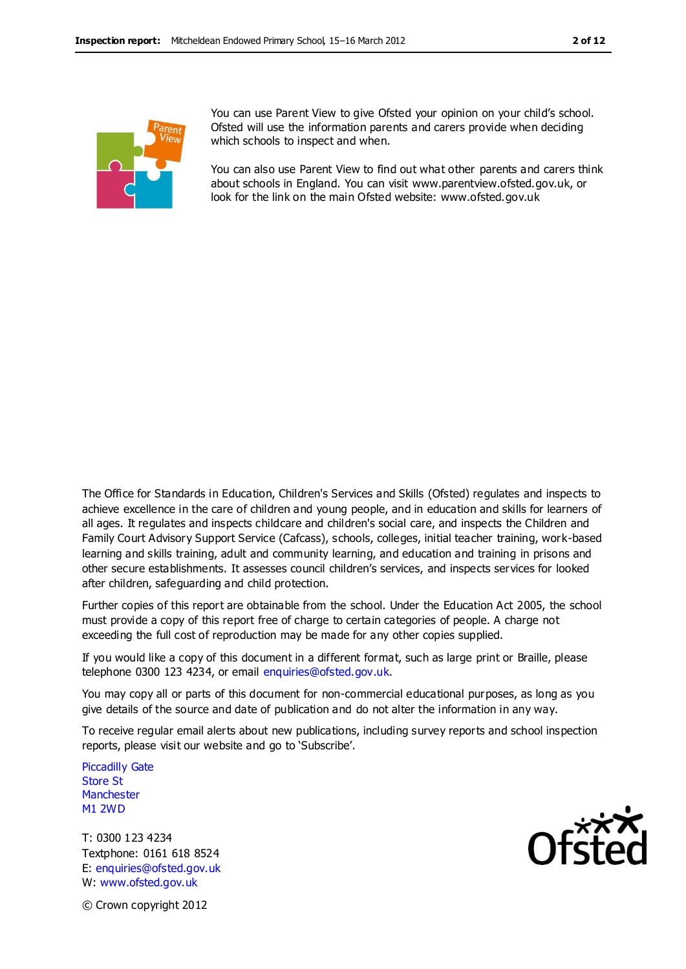

You can use Parent View to give Ofsted your opinion on your child's school. Ofsted will use the information parents and carers provide when deciding which schools to inspect and when.

You can also use Parent View to find out what other parents and carers think about schools in England. You can visit www.parentview.ofsted.gov.uk, or look for the link on the main Ofsted website: www.ofsted.gov.uk

The Office for Standards in Education, Children's Services and Skills (Ofsted) regulates and inspects to achieve excellence in the care of children and young people, and in education and skills for learners of all ages. It regulates and inspects childcare and children's social care, and inspects the Children and Family Court Advisory Support Service (Cafcass), schools, colleges, initial teacher training, work-based learning and skills training, adult and community learning, and education and training in prisons and other secure establishments. It assesses council children's services, and inspects services for looked after children, safeguarding and child protection.

Further copies of this report are obtainable from the school. Under the Education Act 2005, the school must provide a copy of this report free of charge to certain categories of people. A charge not exceeding the full cost of reproduction may be made for any other copies supplied.

If you would like a copy of this document in a different format, such as large print or Braille, please telephone 0300 123 4234, or email enquiries@ofsted.gov.uk.

You may copy all or parts of this document for non-commercial educational purposes, as long as you give details of the source and date of publication and do not alter the information in any way.

To receive regular email alerts about new publications, including survey reports and school inspection reports, please visit our website and go to 'Subscribe'.

Piccadilly Gate Store St **Manchester** M1 2WD

T: 0300 123 4234 Textphone: 0161 618 8524 E: enquiries@ofsted.gov.uk W: www.ofsted.gov.uk



© Crown copyright 2012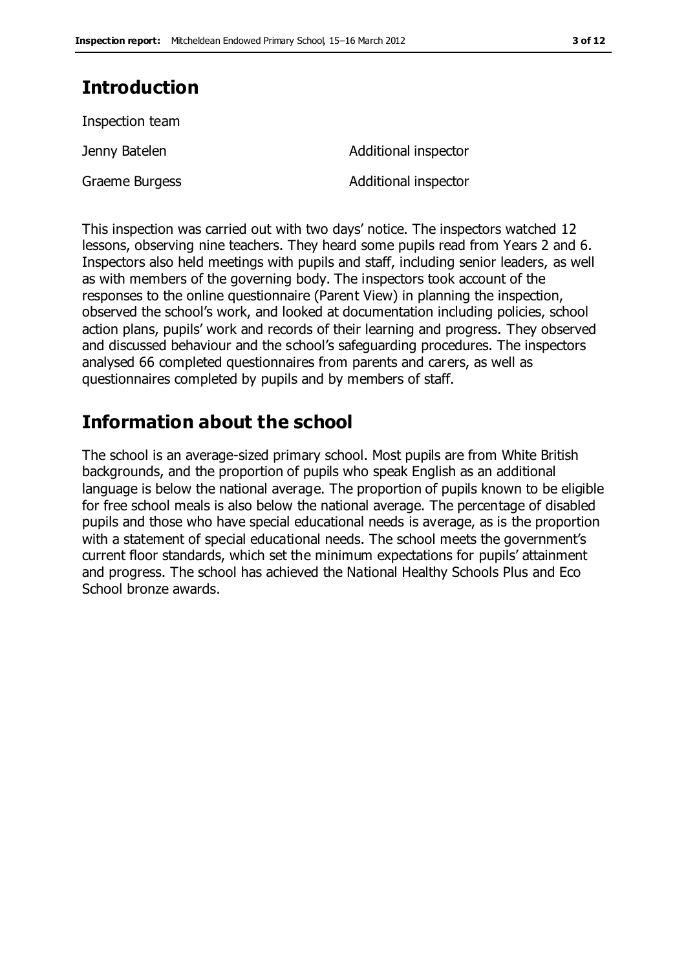# **Introduction**

Inspection team

Graeme Burgess **Additional inspector** 

Jenny Batelen **Additional inspector** 

This inspection was carried out with two days' notice. The inspectors watched 12 lessons, observing nine teachers. They heard some pupils read from Years 2 and 6. Inspectors also held meetings with pupils and staff, including senior leaders, as well as with members of the governing body. The inspectors took account of the responses to the online questionnaire (Parent View) in planning the inspection, observed the school's work, and looked at documentation including policies, school action plans, pupils' work and records of their learning and progress. They observed and discussed behaviour and the school's safeguarding procedures. The inspectors analysed 66 completed questionnaires from parents and carers, as well as questionnaires completed by pupils and by members of staff.

# **Information about the school**

The school is an average-sized primary school. Most pupils are from White British backgrounds, and the proportion of pupils who speak English as an additional language is below the national average. The proportion of pupils known to be eligible for free school meals is also below the national average. The percentage of disabled pupils and those who have special educational needs is average, as is the proportion with a statement of special educational needs. The school meets the government's current floor standards, which set the minimum expectations for pupils' attainment and progress. The school has achieved the National Healthy Schools Plus and Eco School bronze awards.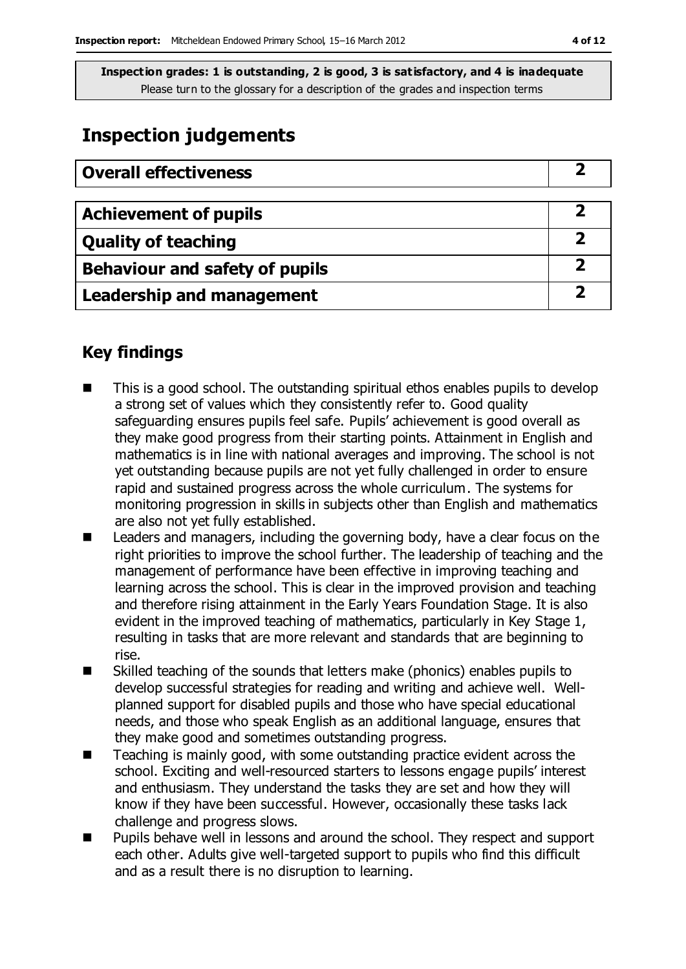# **Inspection judgements**

| <b>Overall effectiveness</b>          |  |
|---------------------------------------|--|
|                                       |  |
| <b>Achievement of pupils</b>          |  |
| <b>Quality of teaching</b>            |  |
| <b>Behaviour and safety of pupils</b> |  |
| <b>Leadership and management</b>      |  |

## **Key findings**

- This is a good school. The outstanding spiritual ethos enables pupils to develop a strong set of values which they consistently refer to. Good quality safeguarding ensures pupils feel safe. Pupils' achievement is good overall as they make good progress from their starting points. Attainment in English and mathematics is in line with national averages and improving. The school is not yet outstanding because pupils are not yet fully challenged in order to ensure rapid and sustained progress across the whole curriculum. The systems for monitoring progression in skills in subjects other than English and mathematics are also not yet fully established.
- Leaders and managers, including the governing body, have a clear focus on the right priorities to improve the school further. The leadership of teaching and the management of performance have been effective in improving teaching and learning across the school. This is clear in the improved provision and teaching and therefore rising attainment in the Early Years Foundation Stage. It is also evident in the improved teaching of mathematics, particularly in Key Stage 1, resulting in tasks that are more relevant and standards that are beginning to rise.
- Skilled teaching of the sounds that letters make (phonics) enables pupils to develop successful strategies for reading and writing and achieve well. Wellplanned support for disabled pupils and those who have special educational needs, and those who speak English as an additional language, ensures that they make good and sometimes outstanding progress.
- Teaching is mainly good, with some outstanding practice evident across the school. Exciting and well-resourced starters to lessons engage pupils' interest and enthusiasm. They understand the tasks they are set and how they will know if they have been successful. However, occasionally these tasks lack challenge and progress slows.
- Pupils behave well in lessons and around the school. They respect and support each other. Adults give well-targeted support to pupils who find this difficult and as a result there is no disruption to learning.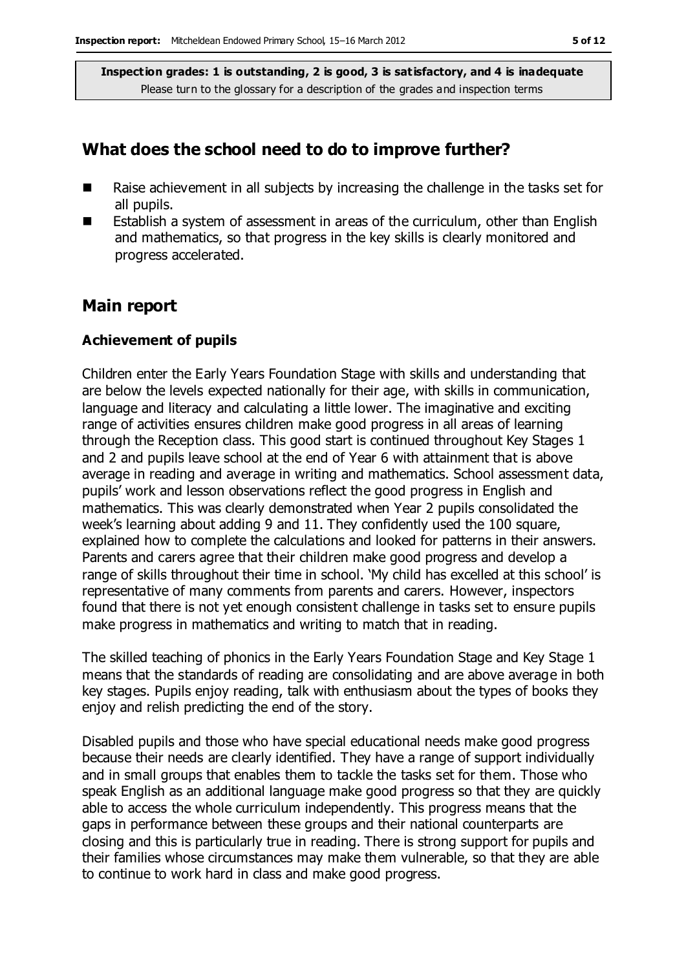#### **What does the school need to do to improve further?**

- $\blacksquare$  Raise achievement in all subjects by increasing the challenge in the tasks set for all pupils.
- Establish a system of assessment in areas of the curriculum, other than English and mathematics, so that progress in the key skills is clearly monitored and progress accelerated.

### **Main report**

#### **Achievement of pupils**

Children enter the Early Years Foundation Stage with skills and understanding that are below the levels expected nationally for their age, with skills in communication, language and literacy and calculating a little lower. The imaginative and exciting range of activities ensures children make good progress in all areas of learning through the Reception class. This good start is continued throughout Key Stages 1 and 2 and pupils leave school at the end of Year 6 with attainment that is above average in reading and average in writing and mathematics. School assessment data, pupils' work and lesson observations reflect the good progress in English and mathematics. This was clearly demonstrated when Year 2 pupils consolidated the week's learning about adding 9 and 11. They confidently used the 100 square, explained how to complete the calculations and looked for patterns in their answers. Parents and carers agree that their children make good progress and develop a range of skills throughout their time in school. 'My child has excelled at this school' is representative of many comments from parents and carers. However, inspectors found that there is not yet enough consistent challenge in tasks set to ensure pupils make progress in mathematics and writing to match that in reading.

The skilled teaching of phonics in the Early Years Foundation Stage and Key Stage 1 means that the standards of reading are consolidating and are above average in both key stages. Pupils enjoy reading, talk with enthusiasm about the types of books they enjoy and relish predicting the end of the story.

Disabled pupils and those who have special educational needs make good progress because their needs are clearly identified. They have a range of support individually and in small groups that enables them to tackle the tasks set for them. Those who speak English as an additional language make good progress so that they are quickly able to access the whole curriculum independently. This progress means that the gaps in performance between these groups and their national counterparts are closing and this is particularly true in reading. There is strong support for pupils and their families whose circumstances may make them vulnerable, so that they are able to continue to work hard in class and make good progress.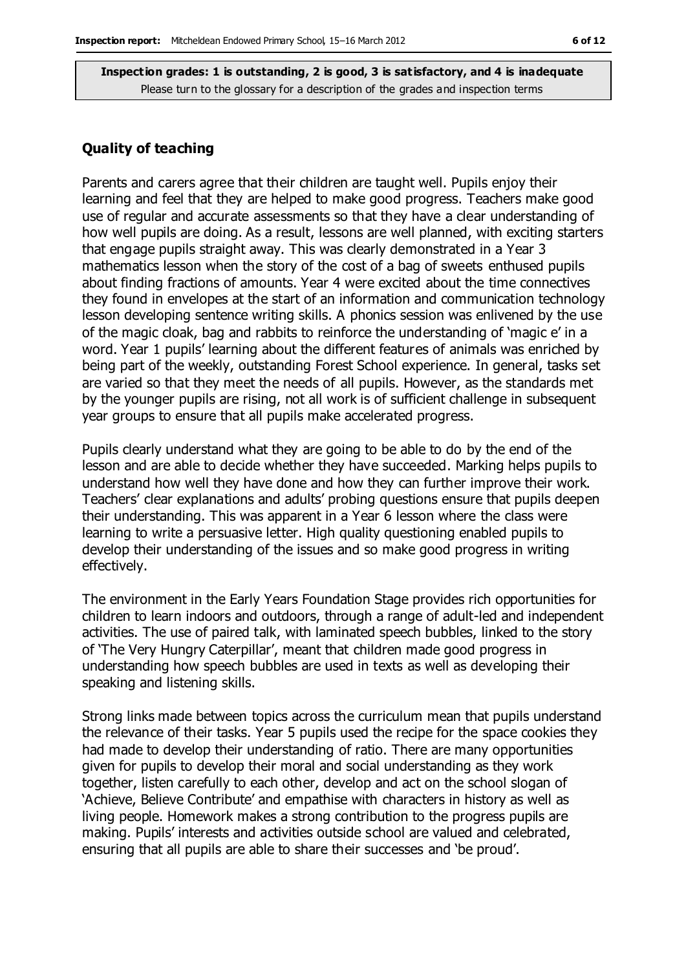#### **Quality of teaching**

Parents and carers agree that their children are taught well. Pupils enjoy their learning and feel that they are helped to make good progress. Teachers make good use of regular and accurate assessments so that they have a clear understanding of how well pupils are doing. As a result, lessons are well planned, with exciting starters that engage pupils straight away. This was clearly demonstrated in a Year 3 mathematics lesson when the story of the cost of a bag of sweets enthused pupils about finding fractions of amounts. Year 4 were excited about the time connectives they found in envelopes at the start of an information and communication technology lesson developing sentence writing skills. A phonics session was enlivened by the use of the magic cloak, bag and rabbits to reinforce the understanding of 'magic e' in a word. Year 1 pupils' learning about the different features of animals was enriched by being part of the weekly, outstanding Forest School experience. In general, tasks set are varied so that they meet the needs of all pupils. However, as the standards met by the younger pupils are rising, not all work is of sufficient challenge in subsequent year groups to ensure that all pupils make accelerated progress.

Pupils clearly understand what they are going to be able to do by the end of the lesson and are able to decide whether they have succeeded. Marking helps pupils to understand how well they have done and how they can further improve their work. Teachers' clear explanations and adults' probing questions ensure that pupils deepen their understanding. This was apparent in a Year 6 lesson where the class were learning to write a persuasive letter. High quality questioning enabled pupils to develop their understanding of the issues and so make good progress in writing effectively.

The environment in the Early Years Foundation Stage provides rich opportunities for children to learn indoors and outdoors, through a range of adult-led and independent activities. The use of paired talk, with laminated speech bubbles, linked to the story of 'The Very Hungry Caterpillar', meant that children made good progress in understanding how speech bubbles are used in texts as well as developing their speaking and listening skills.

Strong links made between topics across the curriculum mean that pupils understand the relevance of their tasks. Year 5 pupils used the recipe for the space cookies they had made to develop their understanding of ratio. There are many opportunities given for pupils to develop their moral and social understanding as they work together, listen carefully to each other, develop and act on the school slogan of 'Achieve, Believe Contribute' and empathise with characters in history as well as living people. Homework makes a strong contribution to the progress pupils are making. Pupils' interests and activities outside school are valued and celebrated, ensuring that all pupils are able to share their successes and 'be proud'.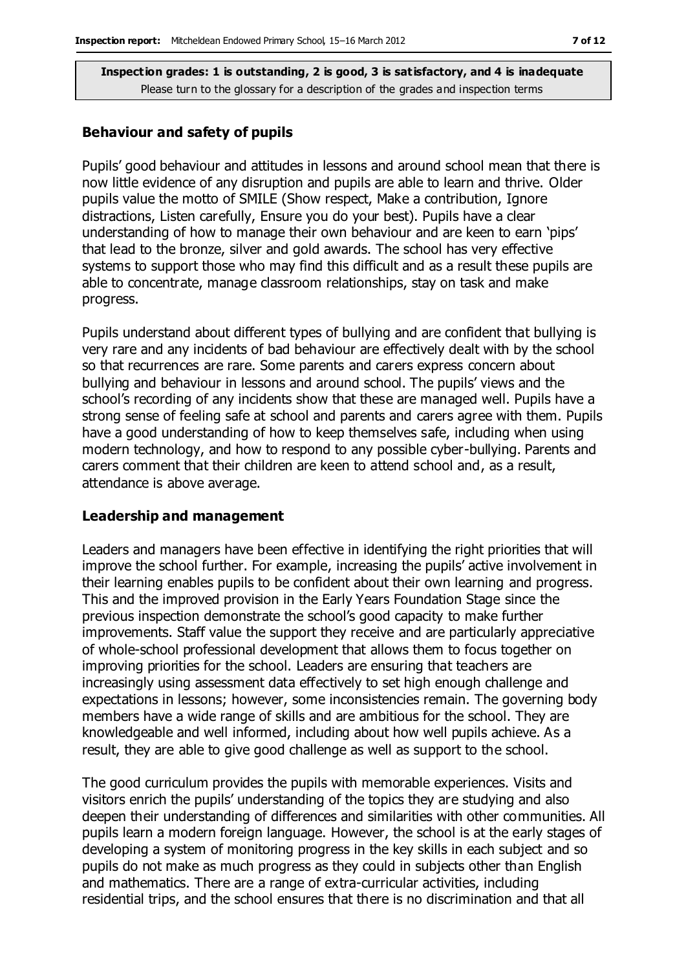#### **Behaviour and safety of pupils**

Pupils' good behaviour and attitudes in lessons and around school mean that there is now little evidence of any disruption and pupils are able to learn and thrive. Older pupils value the motto of SMILE (Show respect, Make a contribution, Ignore distractions, Listen carefully, Ensure you do your best). Pupils have a clear understanding of how to manage their own behaviour and are keen to earn 'pips' that lead to the bronze, silver and gold awards. The school has very effective systems to support those who may find this difficult and as a result these pupils are able to concentrate, manage classroom relationships, stay on task and make progress.

Pupils understand about different types of bullying and are confident that bullying is very rare and any incidents of bad behaviour are effectively dealt with by the school so that recurrences are rare. Some parents and carers express concern about bullying and behaviour in lessons and around school. The pupils' views and the school's recording of any incidents show that these are managed well. Pupils have a strong sense of feeling safe at school and parents and carers agree with them. Pupils have a good understanding of how to keep themselves safe, including when using modern technology, and how to respond to any possible cyber-bullying. Parents and carers comment that their children are keen to attend school and, as a result, attendance is above average.

#### **Leadership and management**

Leaders and managers have been effective in identifying the right priorities that will improve the school further. For example, increasing the pupils' active involvement in their learning enables pupils to be confident about their own learning and progress. This and the improved provision in the Early Years Foundation Stage since the previous inspection demonstrate the school's good capacity to make further improvements. Staff value the support they receive and are particularly appreciative of whole-school professional development that allows them to focus together on improving priorities for the school. Leaders are ensuring that teachers are increasingly using assessment data effectively to set high enough challenge and expectations in lessons; however, some inconsistencies remain. The governing body members have a wide range of skills and are ambitious for the school. They are knowledgeable and well informed, including about how well pupils achieve. As a result, they are able to give good challenge as well as support to the school.

The good curriculum provides the pupils with memorable experiences. Visits and visitors enrich the pupils' understanding of the topics they are studying and also deepen their understanding of differences and similarities with other communities. All pupils learn a modern foreign language. However, the school is at the early stages of developing a system of monitoring progress in the key skills in each subject and so pupils do not make as much progress as they could in subjects other than English and mathematics. There are a range of extra-curricular activities, including residential trips, and the school ensures that there is no discrimination and that all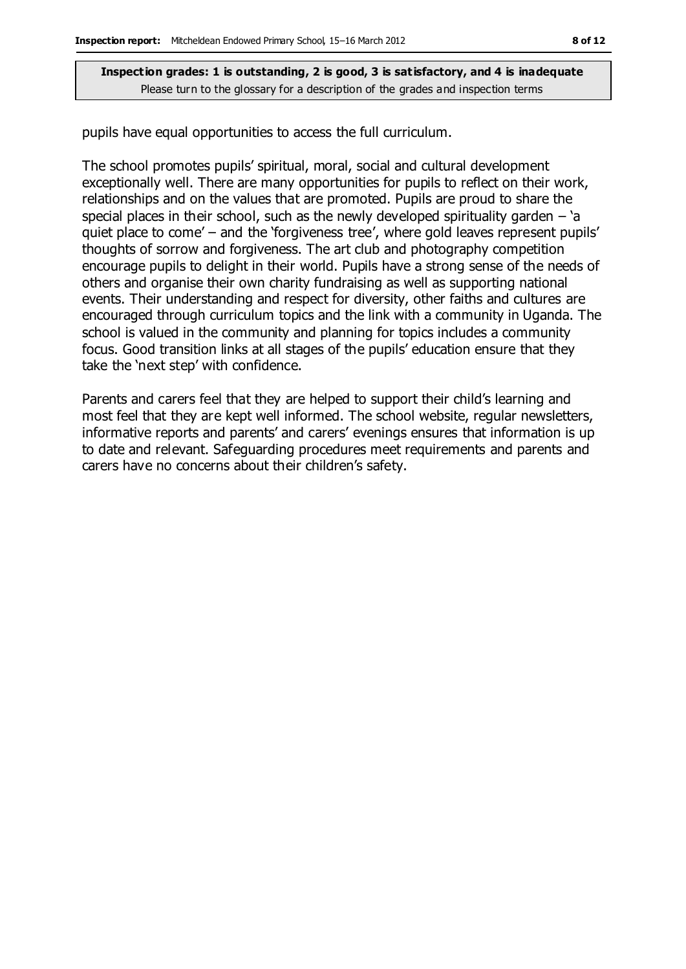pupils have equal opportunities to access the full curriculum.

The school promotes pupils' spiritual, moral, social and cultural development exceptionally well. There are many opportunities for pupils to reflect on their work, relationships and on the values that are promoted. Pupils are proud to share the special places in their school, such as the newly developed spirituality garden  $-$  'a quiet place to come' – and the 'forgiveness tree', where gold leaves represent pupils' thoughts of sorrow and forgiveness. The art club and photography competition encourage pupils to delight in their world. Pupils have a strong sense of the needs of others and organise their own charity fundraising as well as supporting national events. Their understanding and respect for diversity, other faiths and cultures are encouraged through curriculum topics and the link with a community in Uganda. The school is valued in the community and planning for topics includes a community focus. Good transition links at all stages of the pupils' education ensure that they take the 'next step' with confidence.

Parents and carers feel that they are helped to support their child's learning and most feel that they are kept well informed. The school website, regular newsletters, informative reports and parents' and carers' evenings ensures that information is up to date and relevant. Safeguarding procedures meet requirements and parents and carers have no concerns about their children's safety.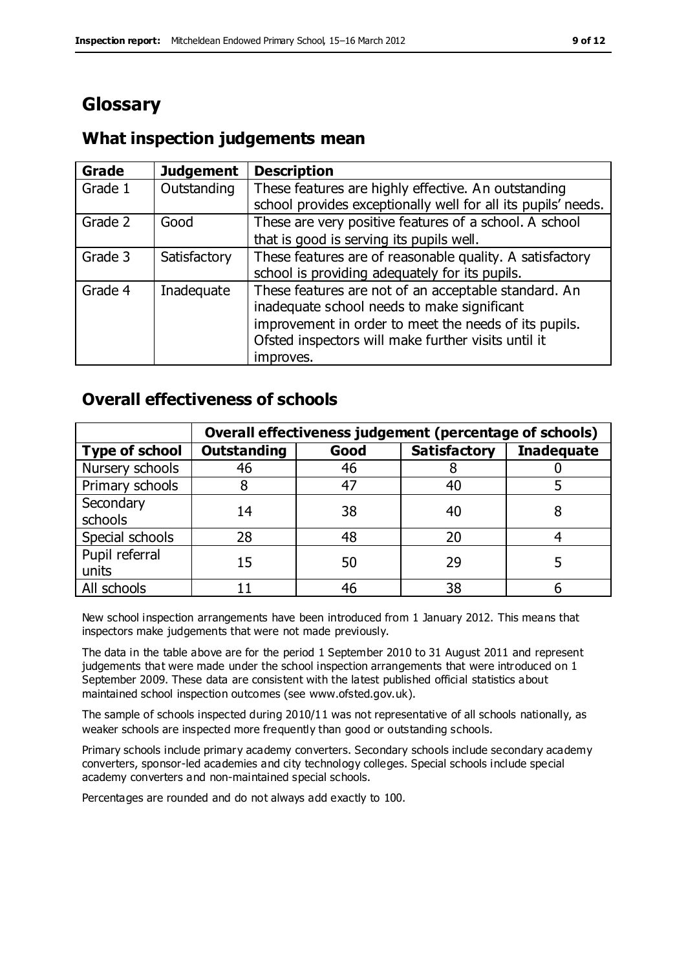# **Glossary**

# **What inspection judgements mean**

| Grade   | <b>Judgement</b> | <b>Description</b>                                                                                                                                                                                                               |
|---------|------------------|----------------------------------------------------------------------------------------------------------------------------------------------------------------------------------------------------------------------------------|
| Grade 1 | Outstanding      | These features are highly effective. An outstanding<br>school provides exceptionally well for all its pupils' needs.                                                                                                             |
| Grade 2 | Good             | These are very positive features of a school. A school<br>that is good is serving its pupils well.                                                                                                                               |
| Grade 3 | Satisfactory     | These features are of reasonable quality. A satisfactory<br>school is providing adequately for its pupils.                                                                                                                       |
| Grade 4 | Inadequate       | These features are not of an acceptable standard. An<br>inadequate school needs to make significant<br>improvement in order to meet the needs of its pupils.<br>Ofsted inspectors will make further visits until it<br>improves. |

# **Overall effectiveness of schools**

|                         | Overall effectiveness judgement (percentage of schools) |      |                     |                   |
|-------------------------|---------------------------------------------------------|------|---------------------|-------------------|
| <b>Type of school</b>   | <b>Outstanding</b>                                      | Good | <b>Satisfactory</b> | <b>Inadequate</b> |
| Nursery schools         | 46                                                      | 46   |                     |                   |
| Primary schools         | 8                                                       | 47   | 40                  |                   |
| Secondary<br>schools    | 14                                                      | 38   | 40                  |                   |
| Special schools         | 28                                                      | 48   | 20                  |                   |
| Pupil referral<br>units | 15                                                      | 50   | 29                  |                   |
| All schools             |                                                         | 46   | 38                  |                   |

New school inspection arrangements have been introduced from 1 January 2012. This means that inspectors make judgements that were not made previously.

The data in the table above are for the period 1 September 2010 to 31 August 2011 and represent judgements that were made under the school inspection arrangements that were introduced on 1 September 2009. These data are consistent with the latest published official statistics about maintained school inspection outcomes (see www.ofsted.gov.uk).

The sample of schools inspected during 2010/11 was not representative of all schools nationally, as weaker schools are inspected more frequently than good or outstanding schools.

Primary schools include primary academy converters. Secondary schools include secondary academy converters, sponsor-led academies and city technology colleges. Special schools include special academy converters and non-maintained special schools.

Percentages are rounded and do not always add exactly to 100.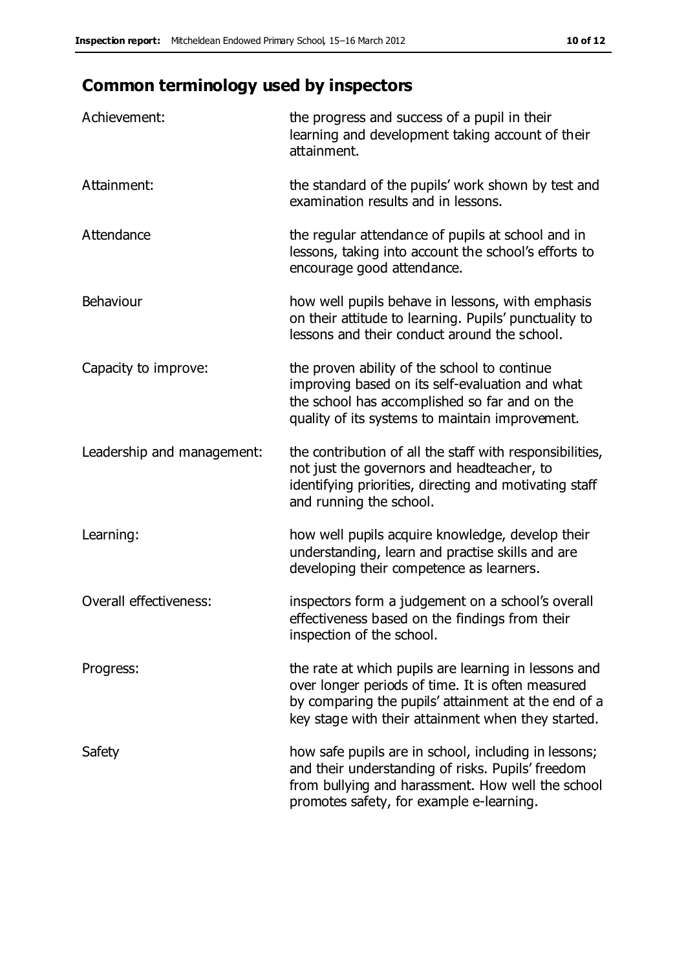# **Common terminology used by inspectors**

| Achievement:               | the progress and success of a pupil in their<br>learning and development taking account of their<br>attainment.                                                                                                        |
|----------------------------|------------------------------------------------------------------------------------------------------------------------------------------------------------------------------------------------------------------------|
| Attainment:                | the standard of the pupils' work shown by test and<br>examination results and in lessons.                                                                                                                              |
| Attendance                 | the regular attendance of pupils at school and in<br>lessons, taking into account the school's efforts to<br>encourage good attendance.                                                                                |
| Behaviour                  | how well pupils behave in lessons, with emphasis<br>on their attitude to learning. Pupils' punctuality to<br>lessons and their conduct around the school.                                                              |
| Capacity to improve:       | the proven ability of the school to continue<br>improving based on its self-evaluation and what<br>the school has accomplished so far and on the<br>quality of its systems to maintain improvement.                    |
| Leadership and management: | the contribution of all the staff with responsibilities,<br>not just the governors and headteacher, to<br>identifying priorities, directing and motivating staff<br>and running the school.                            |
| Learning:                  | how well pupils acquire knowledge, develop their<br>understanding, learn and practise skills and are<br>developing their competence as learners.                                                                       |
| Overall effectiveness:     | inspectors form a judgement on a school's overall<br>effectiveness based on the findings from their<br>inspection of the school.                                                                                       |
| Progress:                  | the rate at which pupils are learning in lessons and<br>over longer periods of time. It is often measured<br>by comparing the pupils' attainment at the end of a<br>key stage with their attainment when they started. |
| Safety                     | how safe pupils are in school, including in lessons;<br>and their understanding of risks. Pupils' freedom<br>from bullying and harassment. How well the school<br>promotes safety, for example e-learning.             |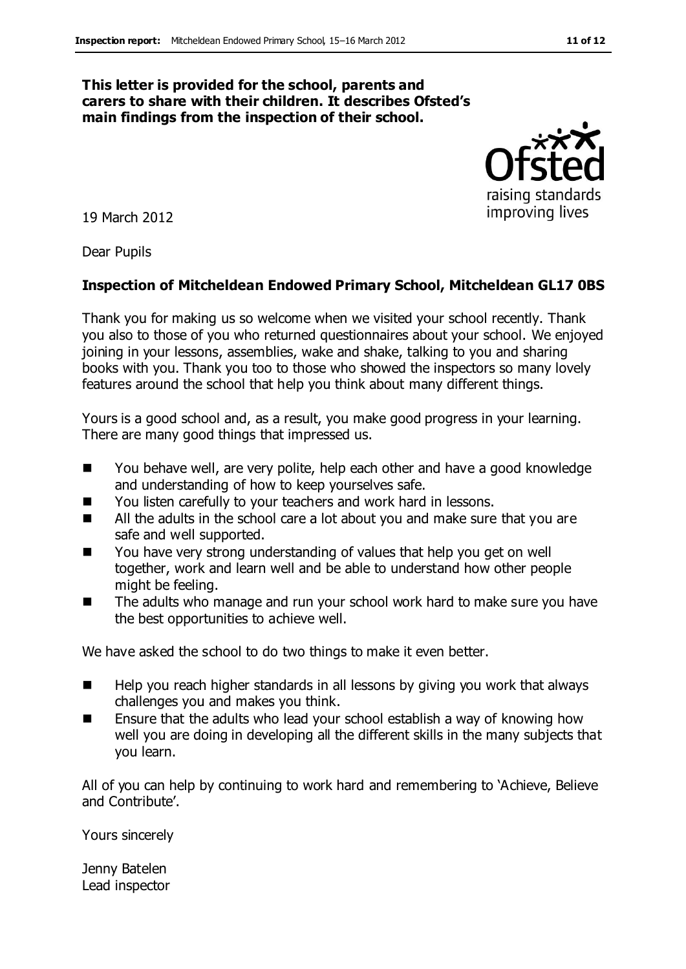#### **This letter is provided for the school, parents and carers to share with their children. It describes Ofsted's main findings from the inspection of their school.**

19 March 2012

Dear Pupils

#### **Inspection of Mitcheldean Endowed Primary School, Mitcheldean GL17 0BS**

Thank you for making us so welcome when we visited your school recently. Thank you also to those of you who returned questionnaires about your school. We enjoyed joining in your lessons, assemblies, wake and shake, talking to you and sharing books with you. Thank you too to those who showed the inspectors so many lovely features around the school that help you think about many different things.

Yours is a good school and, as a result, you make good progress in your learning. There are many good things that impressed us.

- You behave well, are very polite, help each other and have a good knowledge and understanding of how to keep yourselves safe.
- You listen carefully to your teachers and work hard in lessons.
- All the adults in the school care a lot about you and make sure that you are safe and well supported.
- You have very strong understanding of values that help you get on well together, work and learn well and be able to understand how other people might be feeling.
- The adults who manage and run your school work hard to make sure you have the best opportunities to achieve well.

We have asked the school to do two things to make it even better.

- Help you reach higher standards in all lessons by giving you work that always challenges you and makes you think.
- **Ensure that the adults who lead your school establish a way of knowing how** well you are doing in developing all the different skills in the many subjects that you learn.

All of you can help by continuing to work hard and remembering to 'Achieve, Believe and Contribute'.

Yours sincerely

Jenny Batelen Lead inspector



raising standards improving lives